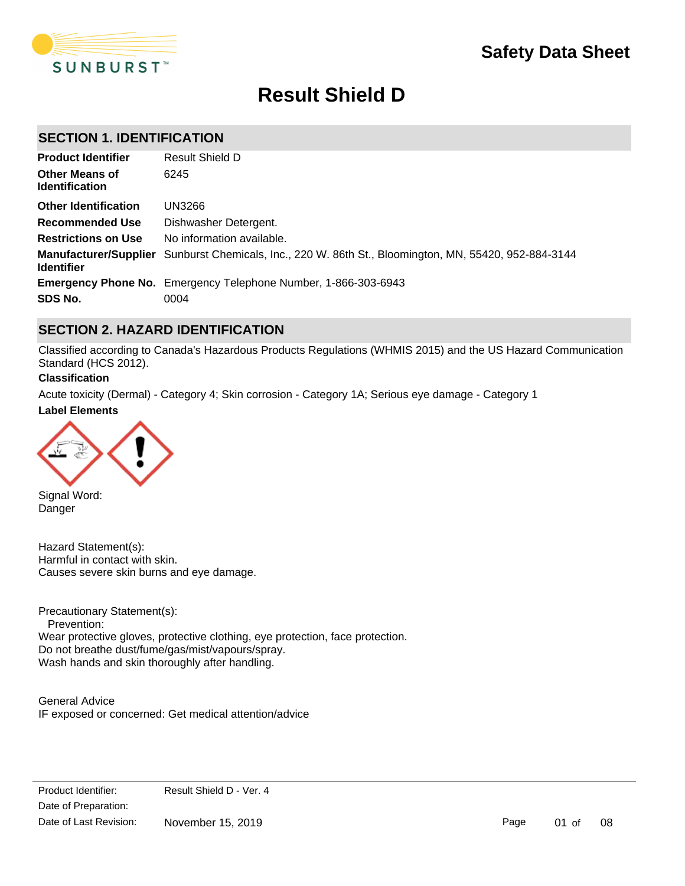

# **Result Shield D**

### **SECTION 1. IDENTIFICATION**

| <b>Product Identifier</b>                      | Result Shield D                                                                                       |
|------------------------------------------------|-------------------------------------------------------------------------------------------------------|
| <b>Other Means of</b><br><b>Identification</b> | 6245                                                                                                  |
| <b>Other Identification</b>                    | UN3266                                                                                                |
| <b>Recommended Use</b>                         | Dishwasher Detergent.                                                                                 |
| <b>Restrictions on Use</b>                     | No information available.                                                                             |
| <b>Identifier</b>                              | Manufacturer/Supplier Sunburst Chemicals, Inc., 220 W. 86th St., Bloomington, MN, 55420, 952-884-3144 |
|                                                | <b>Emergency Phone No.</b> Emergency Telephone Number, 1-866-303-6943                                 |
| SDS No.                                        | 0004                                                                                                  |

### **SECTION 2. HAZARD IDENTIFICATION**

Classified according to Canada's Hazardous Products Regulations (WHMIS 2015) and the US Hazard Communication Standard (HCS 2012).

#### **Classification**

**Label Elements** Acute toxicity (Dermal) - Category 4; Skin corrosion - Category 1A; Serious eye damage - Category 1



Signal Word: Danger

Hazard Statement(s): Harmful in contact with skin. Causes severe skin burns and eye damage.

Precautionary Statement(s): Prevention: Wear protective gloves, protective clothing, eye protection, face protection. Do not breathe dust/fume/gas/mist/vapours/spray. Wash hands and skin thoroughly after handling.

General Advice IF exposed or concerned: Get medical attention/advice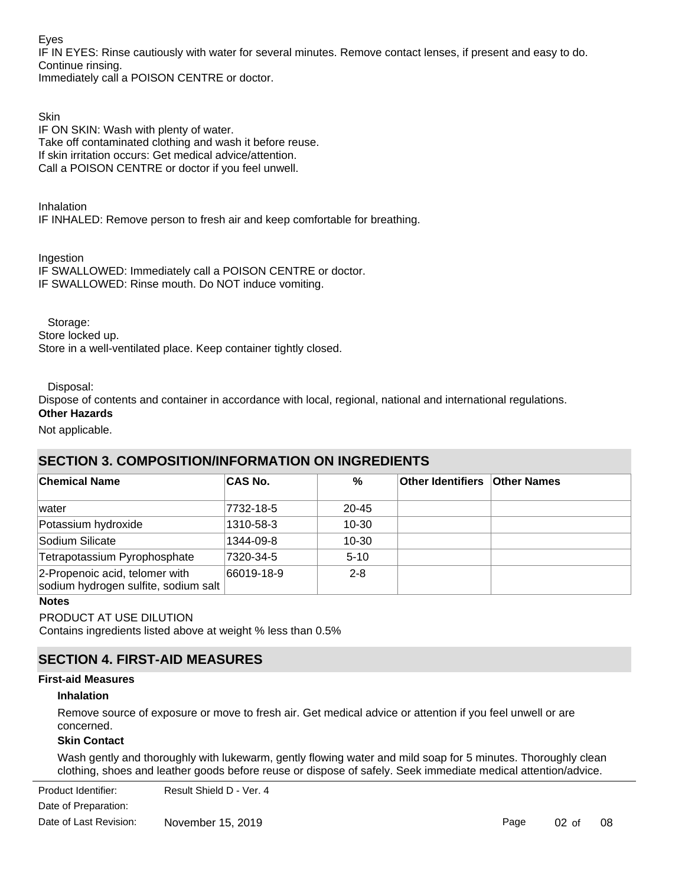Eyes

IF IN EYES: Rinse cautiously with water for several minutes. Remove contact lenses, if present and easy to do. Continue rinsing.

Immediately call a POISON CENTRE or doctor.

**Skin** IF ON SKIN: Wash with plenty of water. Take off contaminated clothing and wash it before reuse. If skin irritation occurs: Get medical advice/attention. Call a POISON CENTRE or doctor if you feel unwell.

Inhalation IF INHALED: Remove person to fresh air and keep comfortable for breathing.

Ingestion

IF SWALLOWED: Immediately call a POISON CENTRE or doctor. IF SWALLOWED: Rinse mouth. Do NOT induce vomiting.

Storage:

Store locked up. Store in a well-ventilated place. Keep container tightly closed.

Disposal:

Dispose of contents and container in accordance with local, regional, national and international regulations. **Other Hazards**

Not applicable.

### **SECTION 3. COMPOSITION/INFORMATION ON INGREDIENTS**

| <b>Chemical Name</b>                                                   | <b>CAS No.</b> | %         | <b>Other Identifiers Other Names</b> |  |
|------------------------------------------------------------------------|----------------|-----------|--------------------------------------|--|
| lwater                                                                 | 7732-18-5      | $20 - 45$ |                                      |  |
| Potassium hydroxide                                                    | 1310-58-3      | 10-30     |                                      |  |
| Sodium Silicate                                                        | 1344-09-8      | $10 - 30$ |                                      |  |
| Tetrapotassium Pyrophosphate                                           | 7320-34-5      | $5 - 10$  |                                      |  |
| 2-Propenoic acid, telomer with<br>sodium hydrogen sulfite, sodium salt | 66019-18-9     | $2 - 8$   |                                      |  |

### **Notes**

PRODUCT AT USE DILUTION

Contains ingredients listed above at weight % less than 0.5%

### **SECTION 4. FIRST-AID MEASURES**

### **First-aid Measures**

### **Inhalation**

Remove source of exposure or move to fresh air. Get medical advice or attention if you feel unwell or are concerned.

### **Skin Contact**

Wash gently and thoroughly with lukewarm, gently flowing water and mild soap for 5 minutes. Thoroughly clean clothing, shoes and leather goods before reuse or dispose of safely. Seek immediate medical attention/advice.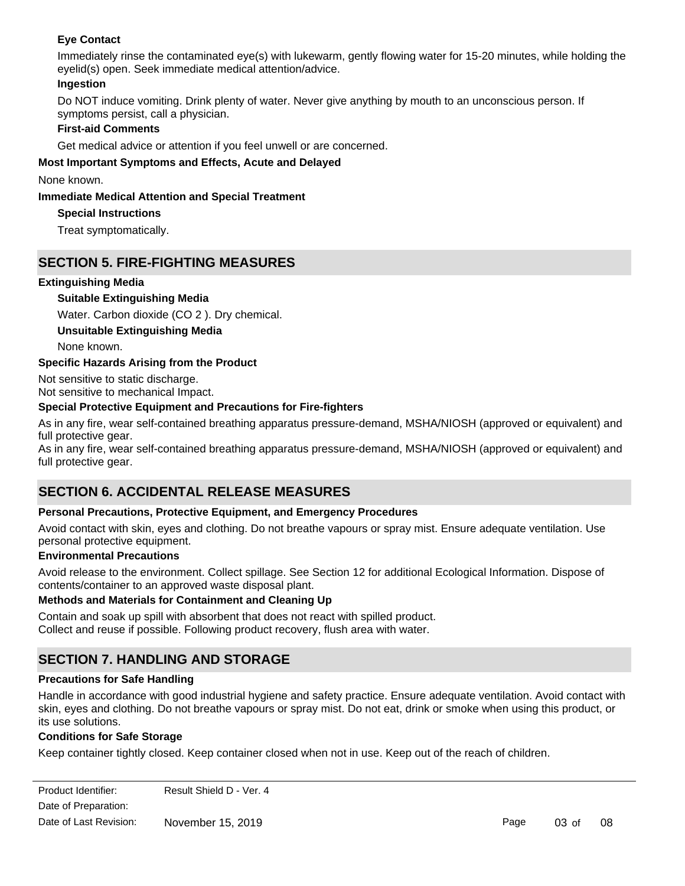### **Eye Contact**

Immediately rinse the contaminated eye(s) with lukewarm, gently flowing water for 15-20 minutes, while holding the eyelid(s) open. Seek immediate medical attention/advice.

### **Ingestion**

Do NOT induce vomiting. Drink plenty of water. Never give anything by mouth to an unconscious person. If symptoms persist, call a physician.

### **First-aid Comments**

Get medical advice or attention if you feel unwell or are concerned.

### **Most Important Symptoms and Effects, Acute and Delayed**

None known.

### **Immediate Medical Attention and Special Treatment**

### **Special Instructions**

Treat symptomatically.

### **SECTION 5. FIRE-FIGHTING MEASURES**

### **Extinguishing Media**

### **Suitable Extinguishing Media**

Water. Carbon dioxide (CO 2 ). Dry chemical.

**Unsuitable Extinguishing Media**

None known.

### **Specific Hazards Arising from the Product**

Not sensitive to static discharge. Not sensitive to mechanical Impact.

### **Special Protective Equipment and Precautions for Fire-fighters**

As in any fire, wear self-contained breathing apparatus pressure-demand, MSHA/NIOSH (approved or equivalent) and full protective gear.

As in any fire, wear self-contained breathing apparatus pressure-demand, MSHA/NIOSH (approved or equivalent) and full protective gear.

### **SECTION 6. ACCIDENTAL RELEASE MEASURES**

### **Personal Precautions, Protective Equipment, and Emergency Procedures**

Avoid contact with skin, eyes and clothing. Do not breathe vapours or spray mist. Ensure adequate ventilation. Use personal protective equipment.

### **Environmental Precautions**

Avoid release to the environment. Collect spillage. See Section 12 for additional Ecological Information. Dispose of contents/container to an approved waste disposal plant.

### **Methods and Materials for Containment and Cleaning Up**

Contain and soak up spill with absorbent that does not react with spilled product. Collect and reuse if possible. Following product recovery, flush area with water.

### **SECTION 7. HANDLING AND STORAGE**

### **Precautions for Safe Handling**

Handle in accordance with good industrial hygiene and safety practice. Ensure adequate ventilation. Avoid contact with skin, eyes and clothing. Do not breathe vapours or spray mist. Do not eat, drink or smoke when using this product, or its use solutions.

### **Conditions for Safe Storage**

Keep container tightly closed. Keep container closed when not in use. Keep out of the reach of children.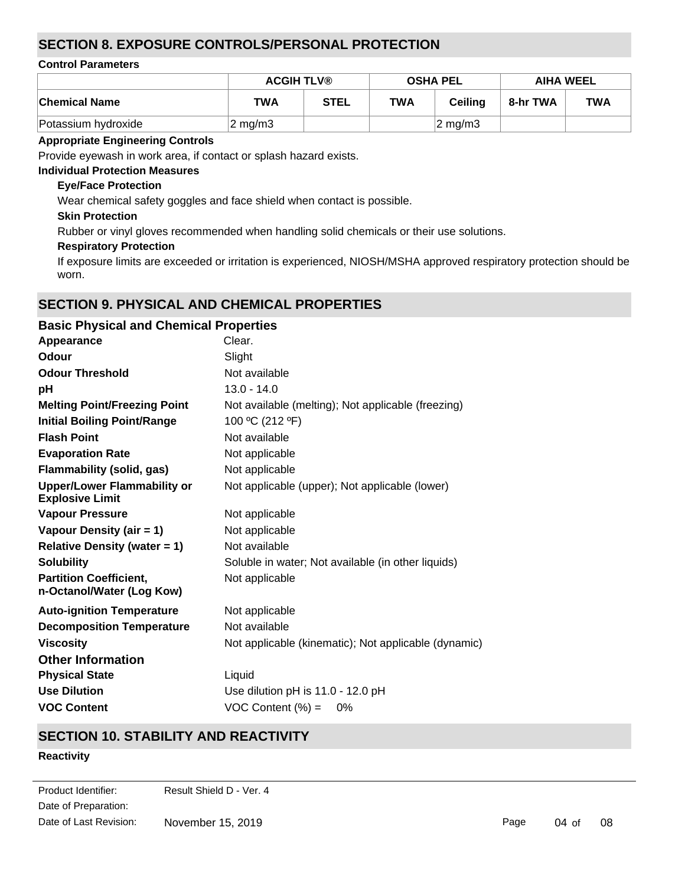### **SECTION 8. EXPOSURE CONTROLS/PERSONAL PROTECTION**

### **Control Parameters**

|                      | <b>ACGIH TLV®</b>  |             | <b>OSHA PEL</b> |                    | <b>AIHA WEEL</b> |            |
|----------------------|--------------------|-------------|-----------------|--------------------|------------------|------------|
| <b>Chemical Name</b> | <b>TWA</b>         | <b>STEL</b> | <b>TWA</b>      | <b>Ceiling</b>     | 8-hr TWA         | <b>TWA</b> |
| Potassium hydroxide  | $2 \text{ mg/m}$ 3 |             |                 | $2 \text{ mg/m}$ 3 |                  |            |

#### **Appropriate Engineering Controls**

Provide eyewash in work area, if contact or splash hazard exists.

### **Individual Protection Measures**

#### **Eye/Face Protection**

Wear chemical safety goggles and face shield when contact is possible.

### **Skin Protection**

Rubber or vinyl gloves recommended when handling solid chemicals or their use solutions.

### **Respiratory Protection**

If exposure limits are exceeded or irritation is experienced, NIOSH/MSHA approved respiratory protection should be worn.

### **SECTION 9. PHYSICAL AND CHEMICAL PROPERTIES**

| <b>Basic Physical and Chemical Properties</b>        |
|------------------------------------------------------|
| Clear.                                               |
| Slight                                               |
| Not available                                        |
| $13.0 - 14.0$                                        |
| Not available (melting); Not applicable (freezing)   |
| 100 °C (212 °F)                                      |
| Not available                                        |
| Not applicable                                       |
| Not applicable                                       |
| Not applicable (upper); Not applicable (lower)       |
| Not applicable                                       |
| Not applicable                                       |
| Not available                                        |
| Soluble in water; Not available (in other liquids)   |
| Not applicable                                       |
| Not applicable                                       |
| Not available                                        |
| Not applicable (kinematic); Not applicable (dynamic) |
|                                                      |
| Liquid                                               |
| Use dilution pH is 11.0 - 12.0 pH                    |
| VOC Content $(\%) =$<br>0%                           |
|                                                      |

### **SECTION 10. STABILITY AND REACTIVITY**

### **Reactivity**

Date of Preparation: Product Identifier: Result Shield D - Ver. 4 Date of Last Revision: November 15, 2019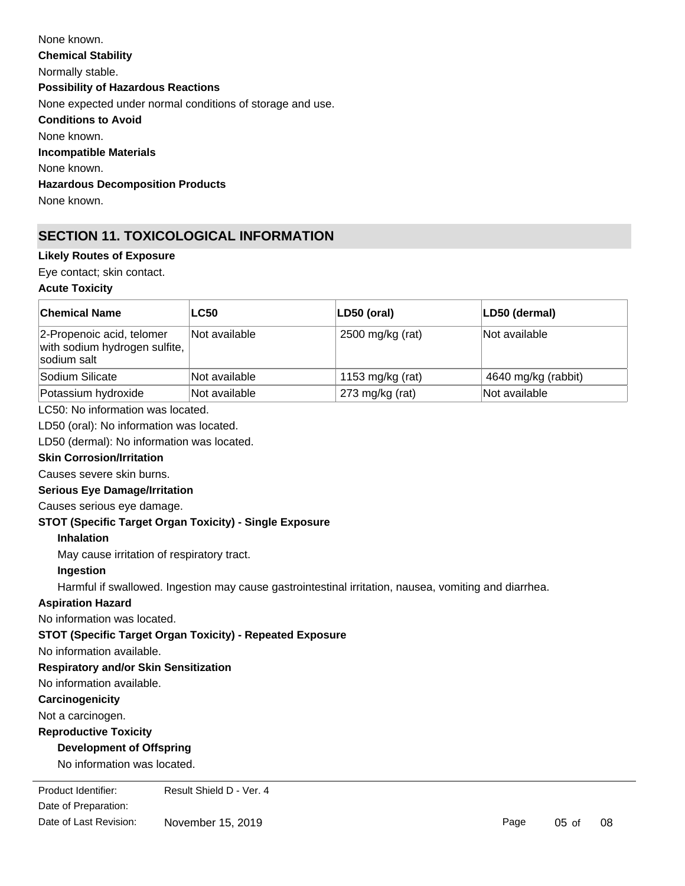| None known.                                               |
|-----------------------------------------------------------|
| <b>Chemical Stability</b>                                 |
| Normally stable.                                          |
| <b>Possibility of Hazardous Reactions</b>                 |
| None expected under normal conditions of storage and use. |
| <b>Conditions to Avoid</b>                                |
| None known.                                               |
| Incompatible Materials                                    |
| None known.                                               |
| <b>Hazardous Decomposition Products</b>                   |
| None known.                                               |
|                                                           |

## **SECTION 11. TOXICOLOGICAL INFORMATION**

### **Likely Routes of Exposure**

Eye contact; skin contact.

### **Acute Toxicity**

| <b>Chemical Name</b>                                                      | <b>LC50</b>                                                                                           | LD50 (oral)      | LD50 (dermal)       |
|---------------------------------------------------------------------------|-------------------------------------------------------------------------------------------------------|------------------|---------------------|
| 2-Propenoic acid, telomer<br>with sodium hydrogen sulfite,<br>sodium salt | Not available                                                                                         | 2500 mg/kg (rat) | Not available       |
| Sodium Silicate                                                           | Not available                                                                                         | 1153 mg/kg (rat) | 4640 mg/kg (rabbit) |
| Potassium hydroxide                                                       | Not available                                                                                         | 273 mg/kg (rat)  | Not available       |
| LC50: No information was located.                                         |                                                                                                       |                  |                     |
| LD50 (oral): No information was located.                                  |                                                                                                       |                  |                     |
| LD50 (dermal): No information was located.                                |                                                                                                       |                  |                     |
| <b>Skin Corrosion/Irritation</b>                                          |                                                                                                       |                  |                     |
| Causes severe skin burns.                                                 |                                                                                                       |                  |                     |
| <b>Serious Eye Damage/Irritation</b>                                      |                                                                                                       |                  |                     |
| Causes serious eye damage.                                                |                                                                                                       |                  |                     |
| STOT (Specific Target Organ Toxicity) - Single Exposure                   |                                                                                                       |                  |                     |
| <b>Inhalation</b>                                                         |                                                                                                       |                  |                     |
| May cause irritation of respiratory tract.                                |                                                                                                       |                  |                     |
| Ingestion                                                                 |                                                                                                       |                  |                     |
|                                                                           | Harmful if swallowed. Ingestion may cause gastrointestinal irritation, nausea, vomiting and diarrhea. |                  |                     |
| <b>Aspiration Hazard</b>                                                  |                                                                                                       |                  |                     |
| No information was located.                                               |                                                                                                       |                  |                     |
|                                                                           | <b>STOT (Specific Target Organ Toxicity) - Repeated Exposure</b>                                      |                  |                     |
| No information available.                                                 |                                                                                                       |                  |                     |
| <b>Respiratory and/or Skin Sensitization</b>                              |                                                                                                       |                  |                     |
| No information available.                                                 |                                                                                                       |                  |                     |
| Carcinogenicity                                                           |                                                                                                       |                  |                     |
| Not a carcinogen.                                                         |                                                                                                       |                  |                     |
| <b>Reproductive Toxicity</b>                                              |                                                                                                       |                  |                     |
| <b>Development of Offspring</b>                                           |                                                                                                       |                  |                     |
| No information was located.                                               |                                                                                                       |                  |                     |
| Product Identifier:                                                       | Result Shield D - Ver. 4                                                                              |                  |                     |

Date of Preparation: Date of Last Revision: November 15, 2019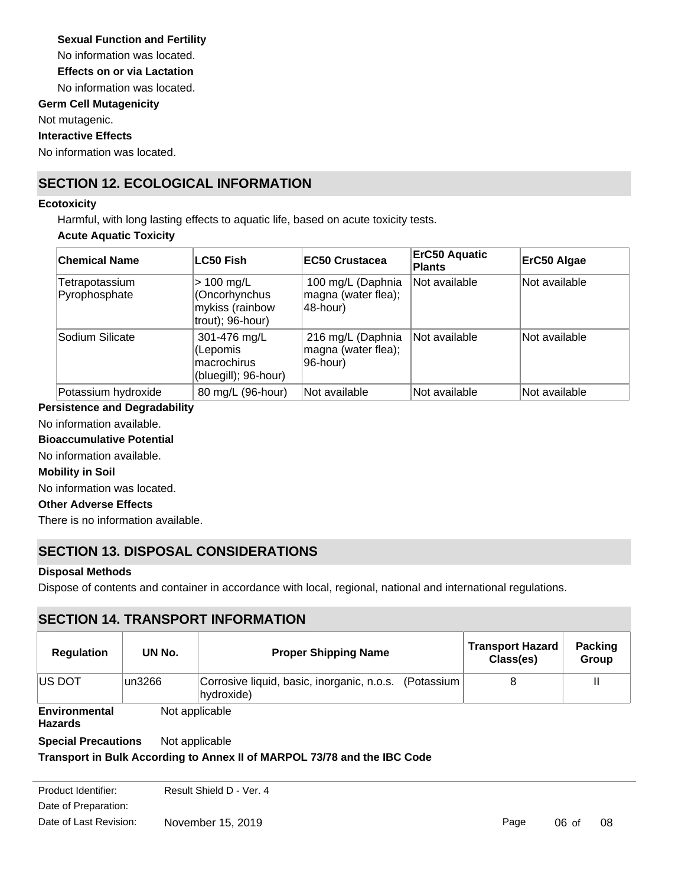### **Sexual Function and Fertility**

No information was located.

**Effects on or via Lactation**

No information was located.

### **Germ Cell Mutagenicity**

Not mutagenic.

**Interactive Effects**

No information was located.

### **SECTION 12. ECOLOGICAL INFORMATION**

#### **Ecotoxicity**

Harmful, with long lasting effects to aquatic life, based on acute toxicity tests.

### **Acute Aquatic Toxicity**

| <b>Chemical Name</b>            | <b>LC50 Fish</b>                                                       | EC50 Crustacea                                       | <b>ErC50 Aquatic</b><br><b>Plants</b> | ErC50 Algae   |
|---------------------------------|------------------------------------------------------------------------|------------------------------------------------------|---------------------------------------|---------------|
| Tetrapotassium<br>Pyrophosphate | $> 100$ mg/L<br>Cncorhynchus<br>mykiss (rainbow<br>$t$ rout); 96-hour) | 100 mg/L (Daphnia<br>magna (water flea);<br>48-hour) | Not available                         | Not available |
| Sodium Silicate                 | 301-476 mg/L<br>(Lepomis<br>macrochirus<br>(bluegill); 96-hour)        | 216 mg/L (Daphnia<br>magna (water flea);<br>96-hour) | Not available                         | Not available |
| Potassium hydroxide             | 80 mg/L (96-hour)                                                      | Not available                                        | Not available                         | Not available |

### **Persistence and Degradability**

No information available.

**Bioaccumulative Potential**

No information available.

### **Mobility in Soil**

No information was located.

#### **Other Adverse Effects**

There is no information available.

### **SECTION 13. DISPOSAL CONSIDERATIONS**

### **Disposal Methods**

Dispose of contents and container in accordance with local, regional, national and international regulations.

### **SECTION 14. TRANSPORT INFORMATION**

| <b>Regulation</b>               | UN No.  | <b>Proper Shipping Name</b>                                         | <b>Transport Hazard</b><br>Class(es) | <b>Packing</b><br>Group |
|---------------------------------|---------|---------------------------------------------------------------------|--------------------------------------|-------------------------|
| <b>IUS DOT</b>                  | lun3266 | Corrosive liquid, basic, inorganic, n.o.s. (Potassium<br>hydroxide) |                                      |                         |
| Environmental<br><b>Hazards</b> |         | Not applicable                                                      |                                      |                         |

**Special Precautions** Not applicable

### **Transport in Bulk According to Annex II of MARPOL 73/78 and the IBC Code**

Date of Preparation: Product Identifier: Result Shield D - Ver. 4 Date of Last Revision: November 15, 2019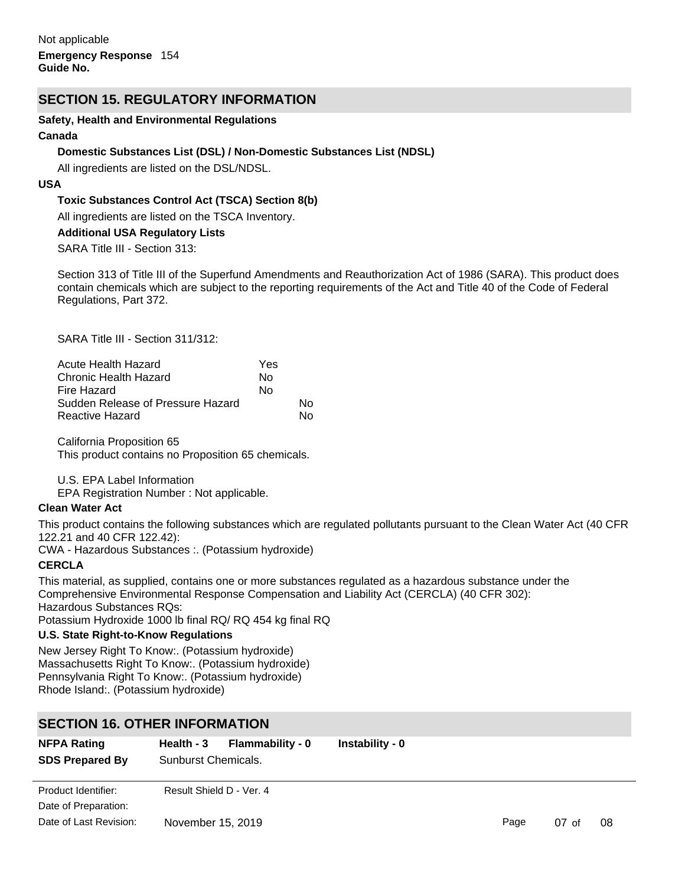### **SECTION 15. REGULATORY INFORMATION**

#### **Safety, Health and Environmental Regulations**

#### **Canada**

#### **Domestic Substances List (DSL) / Non-Domestic Substances List (NDSL)**

All ingredients are listed on the DSL/NDSL.

#### **USA**

### **Toxic Substances Control Act (TSCA) Section 8(b)**

All ingredients are listed on the TSCA Inventory.

#### **Additional USA Regulatory Lists**

SARA Title III - Section 313:

Section 313 of Title III of the Superfund Amendments and Reauthorization Act of 1986 (SARA). This product does contain chemicals which are subject to the reporting requirements of the Act and Title 40 of the Code of Federal Regulations, Part 372.

SARA Title III - Section 311/312:

| Acute Health Hazard               | Yes |    |
|-----------------------------------|-----|----|
| Chronic Health Hazard             | N٥  |    |
| Fire Hazard                       | N٥  |    |
| Sudden Release of Pressure Hazard |     | N٥ |
| Reactive Hazard                   |     | N٥ |

California Proposition 65 This product contains no Proposition 65 chemicals.

### U.S. EPA Label Information

EPA Registration Number : Not applicable.

#### **Clean Water Act**

This product contains the following substances which are regulated pollutants pursuant to the Clean Water Act (40 CFR 122.21 and 40 CFR 122.42):

CWA - Hazardous Substances :. (Potassium hydroxide)

### **CERCLA**

This material, as supplied, contains one or more substances regulated as a hazardous substance under the Comprehensive Environmental Response Compensation and Liability Act (CERCLA) (40 CFR 302): Hazardous Substances RQs:

Potassium Hydroxide 1000 lb final RQ/ RQ 454 kg final RQ

### **U.S. State Right-to-Know Regulations**

New Jersey Right To Know:. (Potassium hydroxide) Massachusetts Right To Know:. (Potassium hydroxide) Pennsylvania Right To Know:. (Potassium hydroxide) Rhode Island:. (Potassium hydroxide)

### **SECTION 16. OTHER INFORMATION**

| <b>NFPA Rating</b><br><b>SDS Prepared By</b> | Health - 3<br>Sunburst Chemicals. | <b>Flammability - 0</b> | Instability - 0 |      |         |    |
|----------------------------------------------|-----------------------------------|-------------------------|-----------------|------|---------|----|
| Product Identifier:                          | Result Shield D - Ver. 4          |                         |                 |      |         |    |
| Date of Preparation:                         |                                   |                         |                 |      |         |    |
| Date of Last Revision:                       | November 15, 2019                 |                         |                 | Page | $07$ of | 08 |